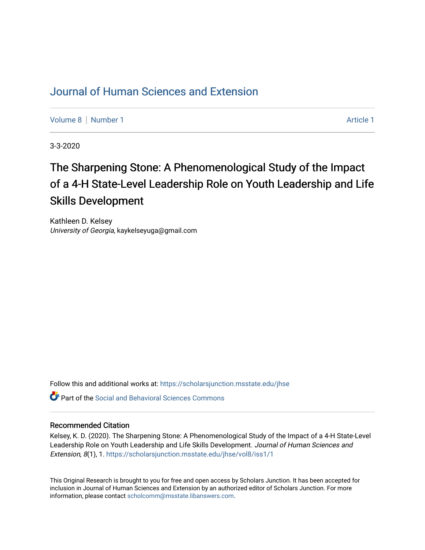# [Journal of Human Sciences and Extension](https://scholarsjunction.msstate.edu/jhse)

[Volume 8](https://scholarsjunction.msstate.edu/jhse/vol8) | [Number 1](https://scholarsjunction.msstate.edu/jhse/vol8/iss1) Article 1

3-3-2020

# The Sharpening Stone: A Phenomenological Study of the Impact of a 4-H State-Level Leadership Role on Youth Leadership and Life Skills Development

Kathleen D. Kelsey University of Georgia, kaykelseyuga@gmail.com

Follow this and additional works at: [https://scholarsjunction.msstate.edu/jhse](https://scholarsjunction.msstate.edu/jhse?utm_source=scholarsjunction.msstate.edu%2Fjhse%2Fvol8%2Fiss1%2F1&utm_medium=PDF&utm_campaign=PDFCoverPages)

 $\bullet$  Part of the Social and Behavioral Sciences Commons

#### Recommended Citation

Kelsey, K. D. (2020). The Sharpening Stone: A Phenomenological Study of the Impact of a 4-H State-Level Leadership Role on Youth Leadership and Life Skills Development. Journal of Human Sciences and Extension, 8(1), 1. [https://scholarsjunction.msstate.edu/jhse/vol8/iss1/1](https://scholarsjunction.msstate.edu/jhse/vol8/iss1/1?utm_source=scholarsjunction.msstate.edu%2Fjhse%2Fvol8%2Fiss1%2F1&utm_medium=PDF&utm_campaign=PDFCoverPages) 

This Original Research is brought to you for free and open access by Scholars Junction. It has been accepted for inclusion in Journal of Human Sciences and Extension by an authorized editor of Scholars Junction. For more information, please contact [scholcomm@msstate.libanswers.com](mailto:scholcomm@msstate.libanswers.com).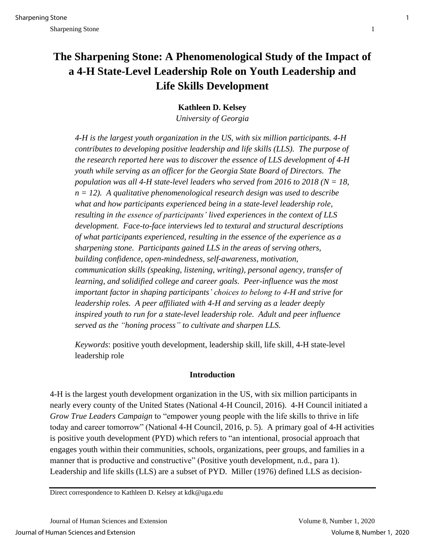# **The Sharpening Stone: A Phenomenological Study of the Impact of a 4-H State-Level Leadership Role on Youth Leadership and Life Skills Development**

**Kathleen D. Kelsey**

*University of Georgia*

*4-H is the largest youth organization in the US, with six million participants. 4-H contributes to developing positive leadership and life skills (LLS). The purpose of the research reported here was to discover the essence of LLS development of 4-H youth while serving as an officer for the Georgia State Board of Directors. The population was all 4-H state-level leaders who served from 2016 to 2018 (N = 18, n = 12). A qualitative phenomenological research design was used to describe what and how participants experienced being in a state-level leadership role, resulting in the essence of participants' lived experiences in the context of LLS development. Face-to-face interviews led to textural and structural descriptions of what participants experienced, resulting in the essence of the experience as a sharpening stone. Participants gained LLS in the areas of serving others, building confidence, open-mindedness, self-awareness, motivation, communication skills (speaking, listening, writing), personal agency, transfer of learning, and solidified college and career goals. Peer-influence was the most important factor in shaping participants' choices to belong to 4-H and strive for leadership roles. A peer affiliated with 4-H and serving as a leader deeply inspired youth to run for a state-level leadership role. Adult and peer influence served as the "honing process" to cultivate and sharpen LLS.*

*Keywords*: positive youth development, leadership skill, life skill, 4-H state-level leadership role

# **Introduction**

4-H is the largest youth development organization in the US, with six million participants in nearly every county of the United States (National 4-H Council, 2016). 4-H Council initiated a *Grow True Leaders Campaign* to "empower young people with the life skills to thrive in life today and career tomorrow" (National 4-H Council, 2016, p. 5). A primary goal of 4-H activities is positive youth development (PYD) which refers to "an intentional, prosocial approach that engages youth within their communities, schools, organizations, peer groups, and families in a manner that is productive and constructive" (Positive youth development, n.d., para 1). Leadership and life skills (LLS) are a subset of PYD. Miller (1976) defined LLS as decision-

Direct correspondence to Kathleen D. Kelsey at kdk@uga.edu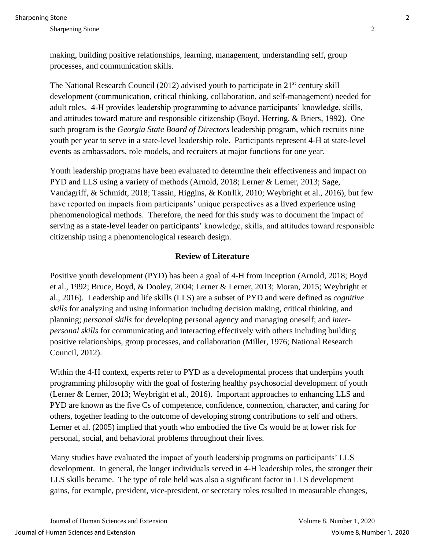making, building positive relationships, learning, management, understanding self, group processes, and communication skills.

The National Research Council (2012) advised youth to participate in  $21<sup>st</sup>$  century skill development (communication, critical thinking, collaboration, and self-management) needed for adult roles. 4-H provides leadership programming to advance participants' knowledge, skills, and attitudes toward mature and responsible citizenship (Boyd, Herring, & Briers, 1992). One such program is the *Georgia State Board of Directors* leadership program, which recruits nine youth per year to serve in a state-level leadership role. Participants represent 4-H at state-level events as ambassadors, role models, and recruiters at major functions for one year.

Youth leadership programs have been evaluated to determine their effectiveness and impact on PYD and LLS using a variety of methods (Arnold, 2018; Lerner & Lerner, 2013; Sage, Vandagriff, & Schmidt, 2018; Tassin, Higgins, & Kotrlik, 2010; Weybright et al., 2016), but few have reported on impacts from participants' unique perspectives as a lived experience using phenomenological methods. Therefore, the need for this study was to document the impact of serving as a state-level leader on participants' knowledge, skills, and attitudes toward responsible citizenship using a phenomenological research design.

#### **Review of Literature**

Positive youth development (PYD) has been a goal of 4-H from inception (Arnold, 2018; Boyd et al., 1992; Bruce, Boyd, & Dooley, 2004; Lerner & Lerner, 2013; Moran, 2015; Weybright et al., 2016). Leadership and life skills (LLS) are a subset of PYD and were defined as *cognitive skills* for analyzing and using information including decision making, critical thinking, and planning; *personal skills* for developing personal agency and managing oneself; and *interpersonal skills* for communicating and interacting effectively with others including building positive relationships, group processes, and collaboration (Miller, 1976; National Research Council, 2012).

Within the 4-H context, experts refer to PYD as a developmental process that underpins youth programming philosophy with the goal of fostering healthy psychosocial development of youth (Lerner & Lerner, 2013; Weybright et al., 2016). Important approaches to enhancing LLS and PYD are known as the five Cs of competence, confidence, connection, character, and caring for others, together leading to the outcome of developing strong contributions to self and others. Lerner et al. (2005) implied that youth who embodied the five Cs would be at lower risk for personal, social, and behavioral problems throughout their lives.

Many studies have evaluated the impact of youth leadership programs on participants' LLS development. In general, the longer individuals served in 4-H leadership roles, the stronger their LLS skills became. The type of role held was also a significant factor in LLS development gains, for example, president, vice-president, or secretary roles resulted in measurable changes,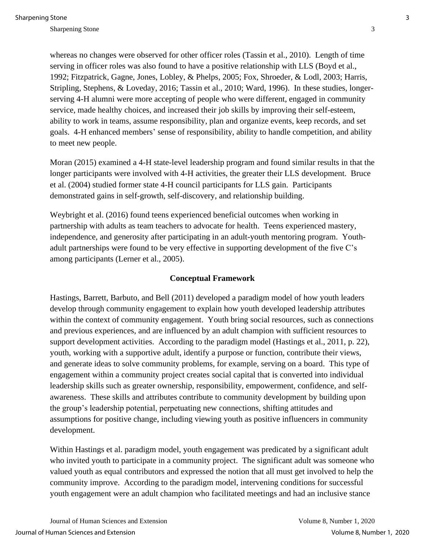whereas no changes were observed for other officer roles (Tassin et al., 2010). Length of time serving in officer roles was also found to have a positive relationship with LLS (Boyd et al., 1992; Fitzpatrick, Gagne, Jones, Lobley, & Phelps, 2005; Fox, Shroeder, & Lodl, 2003; Harris, Stripling, Stephens, & Loveday, 2016; Tassin et al., 2010; Ward, 1996). In these studies, longerserving 4-H alumni were more accepting of people who were different, engaged in community service, made healthy choices, and increased their job skills by improving their self-esteem, ability to work in teams, assume responsibility, plan and organize events, keep records, and set goals. 4-H enhanced members' sense of responsibility, ability to handle competition, and ability to meet new people.

Moran (2015) examined a 4-H state-level leadership program and found similar results in that the longer participants were involved with 4-H activities, the greater their LLS development. Bruce et al. (2004) studied former state 4-H council participants for LLS gain. Participants demonstrated gains in self-growth, self-discovery, and relationship building.

Weybright et al. (2016) found teens experienced beneficial outcomes when working in partnership with adults as team teachers to advocate for health. Teens experienced mastery, independence, and generosity after participating in an adult-youth mentoring program. Youthadult partnerships were found to be very effective in supporting development of the five C's among participants (Lerner et al., 2005).

#### **Conceptual Framework**

Hastings, Barrett, Barbuto, and Bell (2011) developed a paradigm model of how youth leaders develop through community engagement to explain how youth developed leadership attributes within the context of community engagement. Youth bring social resources, such as connections and previous experiences, and are influenced by an adult champion with sufficient resources to support development activities. According to the paradigm model (Hastings et al., 2011, p. 22), youth, working with a supportive adult, identify a purpose or function, contribute their views, and generate ideas to solve community problems, for example, serving on a board. This type of engagement within a community project creates social capital that is converted into individual leadership skills such as greater ownership, responsibility, empowerment, confidence, and selfawareness. These skills and attributes contribute to community development by building upon the group's leadership potential, perpetuating new connections, shifting attitudes and assumptions for positive change, including viewing youth as positive influencers in community development.

Within Hastings et al. paradigm model, youth engagement was predicated by a significant adult who invited youth to participate in a community project. The significant adult was someone who valued youth as equal contributors and expressed the notion that all must get involved to help the community improve. According to the paradigm model, intervening conditions for successful youth engagement were an adult champion who facilitated meetings and had an inclusive stance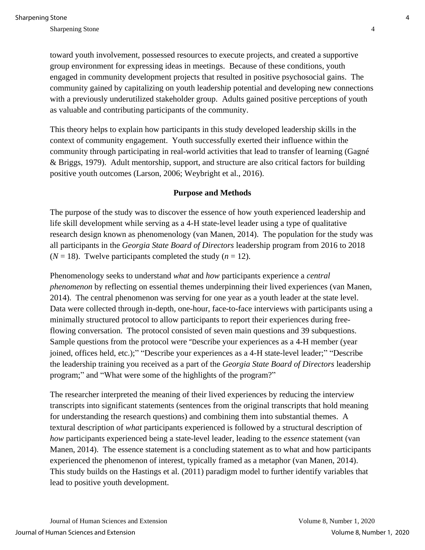toward youth involvement, possessed resources to execute projects, and created a supportive group environment for expressing ideas in meetings. Because of these conditions, youth engaged in community development projects that resulted in positive psychosocial gains. The community gained by capitalizing on youth leadership potential and developing new connections with a previously underutilized stakeholder group. Adults gained positive perceptions of youth as valuable and contributing participants of the community.

This theory helps to explain how participants in this study developed leadership skills in the context of community engagement. Youth successfully exerted their influence within the community through participating in real-world activities that lead to transfer of learning (Gagné & Briggs, 1979). Adult mentorship, support, and structure are also critical factors for building positive youth outcomes (Larson, 2006; Weybright et al., 2016).

#### **Purpose and Methods**

The purpose of the study was to discover the essence of how youth experienced leadership and life skill development while serving as a 4-H state-level leader using a type of qualitative research design known as phenomenology (van Manen, 2014). The population for the study was all participants in the *Georgia State Board of Directors* leadership program from 2016 to 2018  $(N = 18)$ . Twelve participants completed the study  $(n = 12)$ .

Phenomenology seeks to understand *what* and *how* participants experience a *central phenomenon* by reflecting on essential themes underpinning their lived experiences (van Manen, 2014). The central phenomenon was serving for one year as a youth leader at the state level. Data were collected through in-depth, one-hour, face-to-face interviews with participants using a minimally structured protocol to allow participants to report their experiences during freeflowing conversation. The protocol consisted of seven main questions and 39 subquestions. Sample questions from the protocol were "Describe your experiences as a 4-H member (year joined, offices held, etc.);" "Describe your experiences as a 4-H state-level leader;" "Describe the leadership training you received as a part of the *Georgia State Board of Directors* leadership program;" and "What were some of the highlights of the program?"

The researcher interpreted the meaning of their lived experiences by reducing the interview transcripts into significant statements (sentences from the original transcripts that hold meaning for understanding the research questions) and combining them into substantial themes. A textural description of *what* participants experienced is followed by a structural description of *how* participants experienced being a state-level leader, leading to the *essence* statement (van Manen, 2014). The essence statement is a concluding statement as to what and how participants experienced the phenomenon of interest, typically framed as a metaphor (van Manen, 2014). This study builds on the Hastings et al. (2011) paradigm model to further identify variables that lead to positive youth development.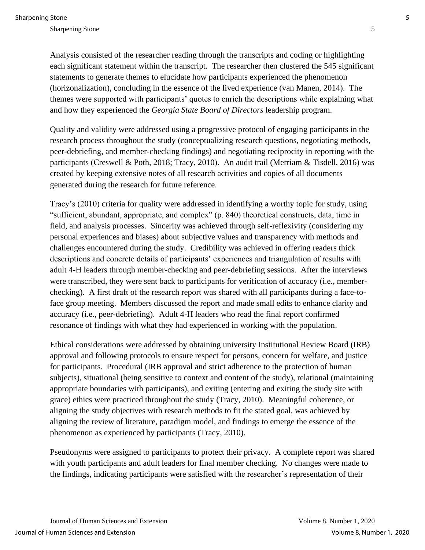Analysis consisted of the researcher reading through the transcripts and coding or highlighting each significant statement within the transcript. The researcher then clustered the 545 significant statements to generate themes to elucidate how participants experienced the phenomenon (horizonalization), concluding in the essence of the lived experience (van Manen, 2014). The themes were supported with participants' quotes to enrich the descriptions while explaining what and how they experienced the *Georgia State Board of Directors* leadership program.

Quality and validity were addressed using a progressive protocol of engaging participants in the research process throughout the study (conceptualizing research questions, negotiating methods, peer-debriefing, and member-checking findings) and negotiating reciprocity in reporting with the participants (Creswell & Poth, 2018; Tracy, 2010). An audit trail (Merriam & Tisdell, 2016) was created by keeping extensive notes of all research activities and copies of all documents generated during the research for future reference.

Tracy's (2010) criteria for quality were addressed in identifying a worthy topic for study, using "sufficient, abundant, appropriate, and complex" (p. 840) theoretical constructs, data, time in field, and analysis processes. Sincerity was achieved through self-reflexivity (considering my personal experiences and biases) about subjective values and transparency with methods and challenges encountered during the study. Credibility was achieved in offering readers thick descriptions and concrete details of participants' experiences and triangulation of results with adult 4-H leaders through member-checking and peer-debriefing sessions. After the interviews were transcribed, they were sent back to participants for verification of accuracy (i.e., memberchecking). A first draft of the research report was shared with all participants during a face-toface group meeting. Members discussed the report and made small edits to enhance clarity and accuracy (i.e., peer-debriefing). Adult 4-H leaders who read the final report confirmed resonance of findings with what they had experienced in working with the population.

Ethical considerations were addressed by obtaining university Institutional Review Board (IRB) approval and following protocols to ensure respect for persons, concern for welfare, and justice for participants. Procedural (IRB approval and strict adherence to the protection of human subjects), situational (being sensitive to context and content of the study), relational (maintaining appropriate boundaries with participants), and exiting (entering and exiting the study site with grace) ethics were practiced throughout the study (Tracy, 2010). Meaningful coherence, or aligning the study objectives with research methods to fit the stated goal, was achieved by aligning the review of literature, paradigm model, and findings to emerge the essence of the phenomenon as experienced by participants (Tracy, 2010).

Pseudonyms were assigned to participants to protect their privacy. A complete report was shared with youth participants and adult leaders for final member checking. No changes were made to the findings, indicating participants were satisfied with the researcher's representation of their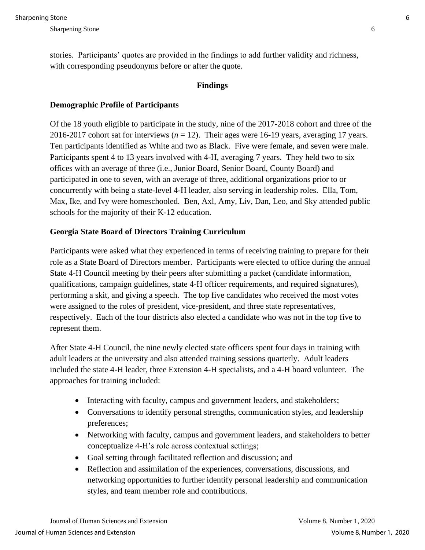stories. Participants' quotes are provided in the findings to add further validity and richness, with corresponding pseudonyms before or after the quote.

#### **Findings**

### **Demographic Profile of Participants**

Of the 18 youth eligible to participate in the study, nine of the 2017-2018 cohort and three of the 2016-2017 cohort sat for interviews (*n* = 12). Their ages were 16-19 years, averaging 17 years. Ten participants identified as White and two as Black. Five were female, and seven were male. Participants spent 4 to 13 years involved with 4-H, averaging 7 years. They held two to six offices with an average of three (i.e., Junior Board, Senior Board, County Board) and participated in one to seven, with an average of three, additional organizations prior to or concurrently with being a state-level 4-H leader, also serving in leadership roles. Ella, Tom, Max, Ike, and Ivy were homeschooled. Ben, Axl, Amy, Liv, Dan, Leo, and Sky attended public schools for the majority of their K-12 education.

### **Georgia State Board of Directors Training Curriculum**

Participants were asked what they experienced in terms of receiving training to prepare for their role as a State Board of Directors member. Participants were elected to office during the annual State 4-H Council meeting by their peers after submitting a packet (candidate information, qualifications, campaign guidelines, state 4-H officer requirements, and required signatures), performing a skit, and giving a speech. The top five candidates who received the most votes were assigned to the roles of president, vice-president, and three state representatives, respectively. Each of the four districts also elected a candidate who was not in the top five to represent them.

After State 4-H Council, the nine newly elected state officers spent four days in training with adult leaders at the university and also attended training sessions quarterly. Adult leaders included the state 4-H leader, three Extension 4-H specialists, and a 4-H board volunteer. The approaches for training included:

- Interacting with faculty, campus and government leaders, and stakeholders;
- Conversations to identify personal strengths, communication styles, and leadership preferences;
- Networking with faculty, campus and government leaders, and stakeholders to better conceptualize 4-H's role across contextual settings;
- Goal setting through facilitated reflection and discussion; and
- Reflection and assimilation of the experiences, conversations, discussions, and networking opportunities to further identify personal leadership and communication styles, and team member role and contributions.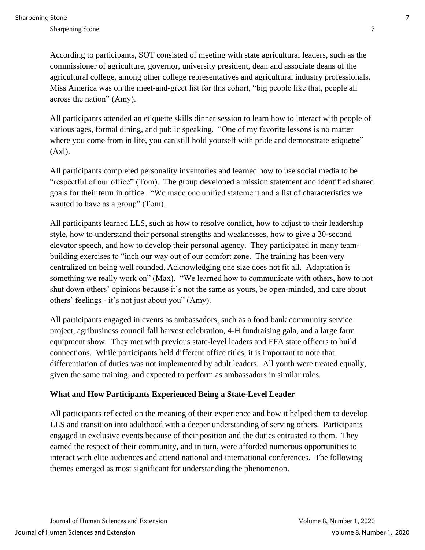Sharpening Stone 7 and 3 and 3 and 3 and 3 and 3 and 3 and 3 and 3 and 3 and 3 and 3 and 3 and 3 and 3 and 3 and 3 and 3 and 3 and 3 and 3 and 3 and 3 and 3 and 3 and 3 and 3 and 3 and 3 and 3 and 3 and 3 and 3 and 3 and 3

According to participants, SOT consisted of meeting with state agricultural leaders, such as the commissioner of agriculture, governor, university president, dean and associate deans of the agricultural college, among other college representatives and agricultural industry professionals. Miss America was on the meet-and-greet list for this cohort, "big people like that, people all across the nation" (Amy).

All participants attended an etiquette skills dinner session to learn how to interact with people of various ages, formal dining, and public speaking. "One of my favorite lessons is no matter where you come from in life, you can still hold yourself with pride and demonstrate etiquette" (Axl).

All participants completed personality inventories and learned how to use social media to be "respectful of our office" (Tom). The group developed a mission statement and identified shared goals for their term in office. "We made one unified statement and a list of characteristics we wanted to have as a group" (Tom).

All participants learned LLS, such as how to resolve conflict, how to adjust to their leadership style, how to understand their personal strengths and weaknesses, how to give a 30-second elevator speech, and how to develop their personal agency. They participated in many teambuilding exercises to "inch our way out of our comfort zone. The training has been very centralized on being well rounded. Acknowledging one size does not fit all. Adaptation is something we really work on" (Max). "We learned how to communicate with others, how to not shut down others' opinions because it's not the same as yours, be open-minded, and care about others' feelings - it's not just about you" (Amy).

All participants engaged in events as ambassadors, such as a food bank community service project, agribusiness council fall harvest celebration, 4-H fundraising gala, and a large farm equipment show. They met with previous state-level leaders and FFA state officers to build connections. While participants held different office titles, it is important to note that differentiation of duties was not implemented by adult leaders. All youth were treated equally, given the same training, and expected to perform as ambassadors in similar roles.

### **What and How Participants Experienced Being a State-Level Leader**

All participants reflected on the meaning of their experience and how it helped them to develop LLS and transition into adulthood with a deeper understanding of serving others. Participants engaged in exclusive events because of their position and the duties entrusted to them. They earned the respect of their community, and in turn, were afforded numerous opportunities to interact with elite audiences and attend national and international conferences. The following themes emerged as most significant for understanding the phenomenon.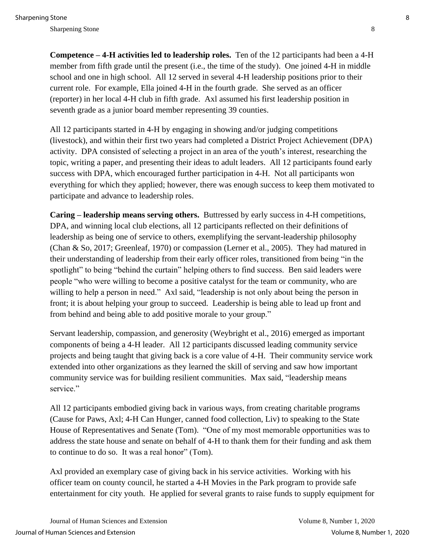**Competence – 4-H activities led to leadership roles.** Ten of the 12 participants had been a 4-H member from fifth grade until the present (i.e., the time of the study). One joined 4-H in middle school and one in high school. All 12 served in several 4-H leadership positions prior to their current role. For example, Ella joined 4-H in the fourth grade. She served as an officer (reporter) in her local 4-H club in fifth grade. Axl assumed his first leadership position in seventh grade as a junior board member representing 39 counties.

All 12 participants started in 4-H by engaging in showing and/or judging competitions (livestock), and within their first two years had completed a District Project Achievement (DPA) activity. DPA consisted of selecting a project in an area of the youth's interest, researching the topic, writing a paper, and presenting their ideas to adult leaders. All 12 participants found early success with DPA, which encouraged further participation in 4-H. Not all participants won everything for which they applied; however, there was enough success to keep them motivated to participate and advance to leadership roles.

**Caring – leadership means serving others.** Buttressed by early success in 4-H competitions, DPA, and winning local club elections, all 12 participants reflected on their definitions of leadership as being one of service to others, exemplifying the servant-leadership philosophy (Chan & So, 2017; Greenleaf, 1970) or compassion (Lerner et al., 2005). They had matured in their understanding of leadership from their early officer roles, transitioned from being "in the spotlight" to being "behind the curtain" helping others to find success. Ben said leaders were people "who were willing to become a positive catalyst for the team or community, who are willing to help a person in need." Axl said, "leadership is not only about being the person in front; it is about helping your group to succeed. Leadership is being able to lead up front and from behind and being able to add positive morale to your group."

Servant leadership, compassion, and generosity (Weybright et al., 2016) emerged as important components of being a 4-H leader. All 12 participants discussed leading community service projects and being taught that giving back is a core value of 4-H. Their community service work extended into other organizations as they learned the skill of serving and saw how important community service was for building resilient communities. Max said, "leadership means service."

All 12 participants embodied giving back in various ways, from creating charitable programs (Cause for Paws, Axl; 4-H Can Hunger, canned food collection, Liv) to speaking to the State House of Representatives and Senate (Tom). "One of my most memorable opportunities was to address the state house and senate on behalf of 4-H to thank them for their funding and ask them to continue to do so. It was a real honor" (Tom).

Axl provided an exemplary case of giving back in his service activities. Working with his officer team on county council, he started a 4-H Movies in the Park program to provide safe entertainment for city youth. He applied for several grants to raise funds to supply equipment for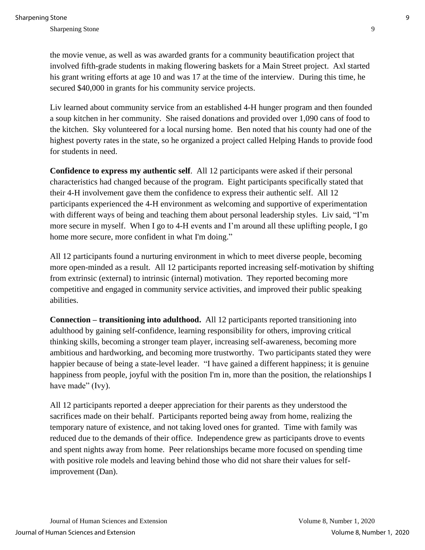the movie venue, as well as was awarded grants for a community beautification project that involved fifth-grade students in making flowering baskets for a Main Street project. Axl started his grant writing efforts at age 10 and was 17 at the time of the interview. During this time, he secured \$40,000 in grants for his community service projects.

Liv learned about community service from an established 4-H hunger program and then founded a soup kitchen in her community. She raised donations and provided over 1,090 cans of food to the kitchen. Sky volunteered for a local nursing home. Ben noted that his county had one of the highest poverty rates in the state, so he organized a project called Helping Hands to provide food for students in need.

**Confidence to express my authentic self**. All 12 participants were asked if their personal characteristics had changed because of the program. Eight participants specifically stated that their 4-H involvement gave them the confidence to express their authentic self. All 12 participants experienced the 4-H environment as welcoming and supportive of experimentation with different ways of being and teaching them about personal leadership styles. Liv said, "I'm more secure in myself. When I go to 4-H events and I'm around all these uplifting people, I go home more secure, more confident in what I'm doing."

All 12 participants found a nurturing environment in which to meet diverse people, becoming more open-minded as a result. All 12 participants reported increasing self-motivation by shifting from extrinsic (external) to intrinsic (internal) motivation. They reported becoming more competitive and engaged in community service activities, and improved their public speaking abilities.

**Connection – transitioning into adulthood.** All 12 participants reported transitioning into adulthood by gaining self-confidence, learning responsibility for others, improving critical thinking skills, becoming a stronger team player, increasing self-awareness, becoming more ambitious and hardworking, and becoming more trustworthy. Two participants stated they were happier because of being a state-level leader. "I have gained a different happiness; it is genuine happiness from people, joyful with the position I'm in, more than the position, the relationships I have made" (Ivy).

All 12 participants reported a deeper appreciation for their parents as they understood the sacrifices made on their behalf. Participants reported being away from home, realizing the temporary nature of existence, and not taking loved ones for granted. Time with family was reduced due to the demands of their office. Independence grew as participants drove to events and spent nights away from home. Peer relationships became more focused on spending time with positive role models and leaving behind those who did not share their values for selfimprovement (Dan).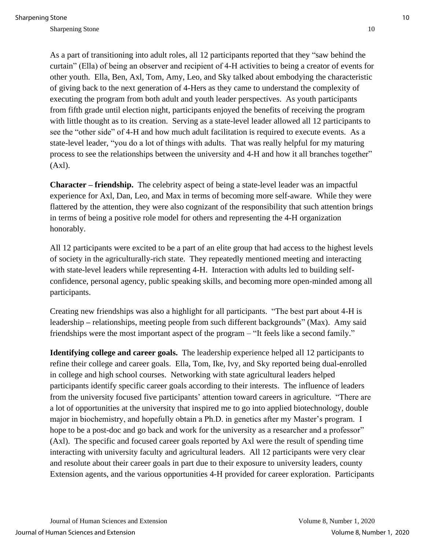As a part of transitioning into adult roles, all 12 participants reported that they "saw behind the curtain" (Ella) of being an observer and recipient of 4-H activities to being a creator of events for other youth. Ella, Ben, Axl, Tom, Amy, Leo, and Sky talked about embodying the characteristic of giving back to the next generation of 4-Hers as they came to understand the complexity of executing the program from both adult and youth leader perspectives. As youth participants from fifth grade until election night, participants enjoyed the benefits of receiving the program with little thought as to its creation. Serving as a state-level leader allowed all 12 participants to see the "other side" of 4-H and how much adult facilitation is required to execute events. As a state-level leader, "you do a lot of things with adults. That was really helpful for my maturing process to see the relationships between the university and 4-H and how it all branches together"  $(Ax)$ .

**Character – friendship.** The celebrity aspect of being a state-level leader was an impactful experience for Axl, Dan, Leo, and Max in terms of becoming more self-aware. While they were flattered by the attention, they were also cognizant of the responsibility that such attention brings in terms of being a positive role model for others and representing the 4-H organization honorably.

All 12 participants were excited to be a part of an elite group that had access to the highest levels of society in the agriculturally-rich state. They repeatedly mentioned meeting and interacting with state-level leaders while representing 4-H. Interaction with adults led to building selfconfidence, personal agency, public speaking skills, and becoming more open-minded among all participants.

Creating new friendships was also a highlight for all participants. "The best part about 4-H is leadership **–** relationships, meeting people from such different backgrounds" (Max). Amy said friendships were the most important aspect of the program – "It feels like a second family."

**Identifying college and career goals.** The leadership experience helped all 12 participants to refine their college and career goals. Ella, Tom, Ike, Ivy, and Sky reported being dual-enrolled in college and high school courses. Networking with state agricultural leaders helped participants identify specific career goals according to their interests. The influence of leaders from the university focused five participants' attention toward careers in agriculture. "There are a lot of opportunities at the university that inspired me to go into applied biotechnology, double major in biochemistry, and hopefully obtain a Ph.D. in genetics after my Master's program. I hope to be a post-doc and go back and work for the university as a researcher and a professor" (Axl). The specific and focused career goals reported by Axl were the result of spending time interacting with university faculty and agricultural leaders. All 12 participants were very clear and resolute about their career goals in part due to their exposure to university leaders, county Extension agents, and the various opportunities 4-H provided for career exploration. Participants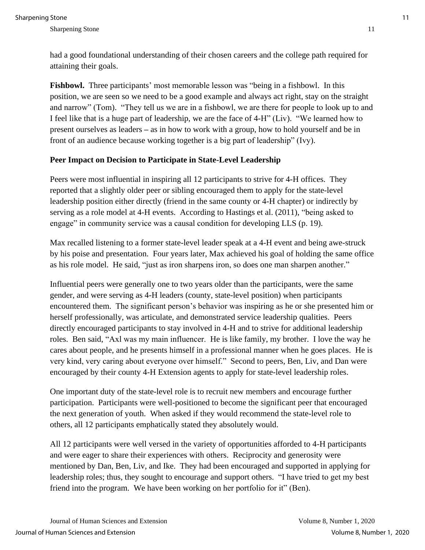had a good foundational understanding of their chosen careers and the college path required for attaining their goals.

**Fishbowl.** Three participants' most memorable lesson was "being in a fishbowl. In this position, we are seen so we need to be a good example and always act right, stay on the straight and narrow" (Tom). "They tell us we are in a fishbowl, we are there for people to look up to and I feel like that is a huge part of leadership, we are the face of 4-H" (Liv). "We learned how to present ourselves as leaders **–** as in how to work with a group, how to hold yourself and be in front of an audience because working together is a big part of leadership" (Ivy).

# **Peer Impact on Decision to Participate in State-Level Leadership**

Peers were most influential in inspiring all 12 participants to strive for 4-H offices. They reported that a slightly older peer or sibling encouraged them to apply for the state-level leadership position either directly (friend in the same county or 4-H chapter) or indirectly by serving as a role model at 4-H events. According to Hastings et al. (2011), "being asked to engage" in community service was a causal condition for developing LLS (p. 19).

Max recalled listening to a former state-level leader speak at a 4-H event and being awe-struck by his poise and presentation. Four years later, Max achieved his goal of holding the same office as his role model. He said, "just as iron sharpens iron, so does one man sharpen another."

Influential peers were generally one to two years older than the participants, were the same gender, and were serving as 4-H leaders (county, state-level position) when participants encountered them. The significant person's behavior was inspiring as he or she presented him or herself professionally, was articulate, and demonstrated service leadership qualities. Peers directly encouraged participants to stay involved in 4-H and to strive for additional leadership roles. Ben said, "Axl was my main influencer. He is like family, my brother. I love the way he cares about people, and he presents himself in a professional manner when he goes places. He is very kind, very caring about everyone over himself." Second to peers, Ben, Liv, and Dan were encouraged by their county 4-H Extension agents to apply for state-level leadership roles.

One important duty of the state-level role is to recruit new members and encourage further participation. Participants were well-positioned to become the significant peer that encouraged the next generation of youth. When asked if they would recommend the state-level role to others, all 12 participants emphatically stated they absolutely would.

All 12 participants were well versed in the variety of opportunities afforded to 4-H participants and were eager to share their experiences with others. Reciprocity and generosity were mentioned by Dan, Ben, Liv, and Ike. They had been encouraged and supported in applying for leadership roles; thus, they sought to encourage and support others. "I have tried to get my best friend into the program. We have been working on her portfolio for it" (Ben).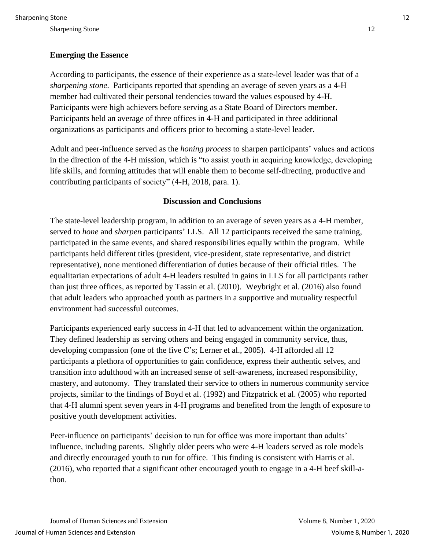## **Emerging the Essence**

According to participants, the essence of their experience as a state-level leader was that of a *sharpening stone*. Participants reported that spending an average of seven years as a 4-H member had cultivated their personal tendencies toward the values espoused by 4-H. Participants were high achievers before serving as a State Board of Directors member. Participants held an average of three offices in 4-H and participated in three additional organizations as participants and officers prior to becoming a state-level leader.

Adult and peer-influence served as the *honing process* to sharpen participants' values and actions in the direction of the 4-H mission, which is "to assist youth in acquiring knowledge, developing life skills, and forming attitudes that will enable them to become self-directing, productive and contributing participants of society" (4-H, 2018, para. 1).

#### **Discussion and Conclusions**

The state-level leadership program, in addition to an average of seven years as a 4-H member, served to *hone* and *sharpen* participants' LLS. All 12 participants received the same training, participated in the same events, and shared responsibilities equally within the program. While participants held different titles (president, vice-president, state representative, and district representative), none mentioned differentiation of duties because of their official titles. The equalitarian expectations of adult 4-H leaders resulted in gains in LLS for all participants rather than just three offices, as reported by Tassin et al. (2010). Weybright et al. (2016) also found that adult leaders who approached youth as partners in a supportive and mutuality respectful environment had successful outcomes.

Participants experienced early success in 4-H that led to advancement within the organization. They defined leadership as serving others and being engaged in community service, thus, developing compassion (one of the five C's; Lerner et al., 2005). 4-H afforded all 12 participants a plethora of opportunities to gain confidence, express their authentic selves, and transition into adulthood with an increased sense of self-awareness, increased responsibility, mastery, and autonomy. They translated their service to others in numerous community service projects, similar to the findings of Boyd et al. (1992) and Fitzpatrick et al. (2005) who reported that 4-H alumni spent seven years in 4-H programs and benefited from the length of exposure to positive youth development activities.

Peer-influence on participants' decision to run for office was more important than adults' influence, including parents. Slightly older peers who were 4-H leaders served as role models and directly encouraged youth to run for office. This finding is consistent with Harris et al. (2016), who reported that a significant other encouraged youth to engage in a 4-H beef skill-athon.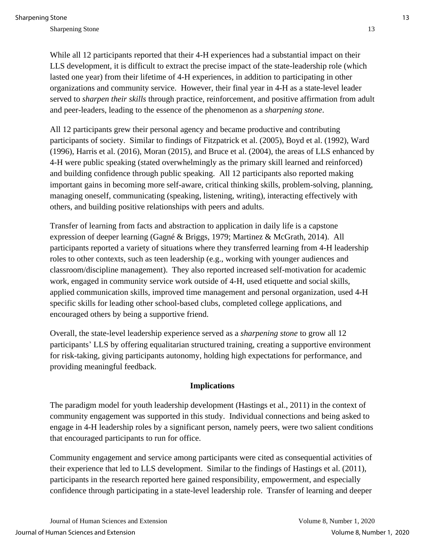While all 12 participants reported that their 4-H experiences had a substantial impact on their LLS development, it is difficult to extract the precise impact of the state-leadership role (which lasted one year) from their lifetime of 4-H experiences, in addition to participating in other organizations and community service. However, their final year in 4-H as a state-level leader served to *sharpen their skills* through practice, reinforcement, and positive affirmation from adult and peer-leaders, leading to the essence of the phenomenon as a *sharpening stone*.

All 12 participants grew their personal agency and became productive and contributing participants of society. Similar to findings of Fitzpatrick et al. (2005), Boyd et al. (1992), Ward (1996), Harris et al. (2016), Moran (2015), and Bruce et al. (2004), the areas of LLS enhanced by 4-H were public speaking (stated overwhelmingly as the primary skill learned and reinforced) and building confidence through public speaking. All 12 participants also reported making important gains in becoming more self-aware, critical thinking skills, problem-solving, planning, managing oneself, communicating (speaking, listening, writing), interacting effectively with others, and building positive relationships with peers and adults.

Transfer of learning from facts and abstraction to application in daily life is a capstone expression of deeper learning (Gagné & Briggs, 1979; Martinez & McGrath, 2014). All participants reported a variety of situations where they transferred learning from 4-H leadership roles to other contexts, such as teen leadership (e.g., working with younger audiences and classroom/discipline management). They also reported increased self-motivation for academic work, engaged in community service work outside of 4-H, used etiquette and social skills, applied communication skills, improved time management and personal organization, used 4-H specific skills for leading other school-based clubs, completed college applications, and encouraged others by being a supportive friend.

Overall, the state-level leadership experience served as a *sharpening stone* to grow all 12 participants' LLS by offering equalitarian structured training, creating a supportive environment for risk-taking, giving participants autonomy, holding high expectations for performance, and providing meaningful feedback.

### **Implications**

The paradigm model for youth leadership development (Hastings et al., 2011) in the context of community engagement was supported in this study. Individual connections and being asked to engage in 4-H leadership roles by a significant person, namely peers, were two salient conditions that encouraged participants to run for office.

Community engagement and service among participants were cited as consequential activities of their experience that led to LLS development. Similar to the findings of Hastings et al. (2011), participants in the research reported here gained responsibility, empowerment, and especially confidence through participating in a state-level leadership role. Transfer of learning and deeper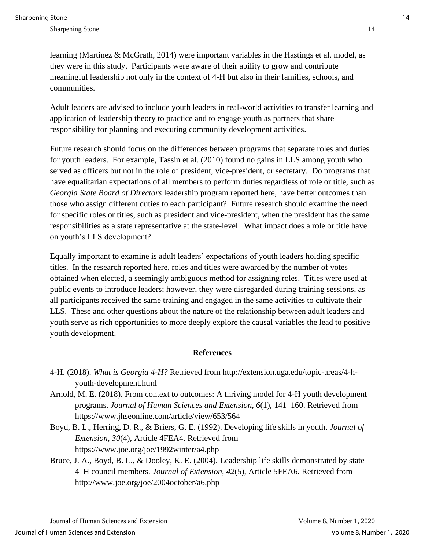learning (Martinez & McGrath, 2014) were important variables in the Hastings et al. model, as they were in this study. Participants were aware of their ability to grow and contribute meaningful leadership not only in the context of 4-H but also in their families, schools, and communities.

Adult leaders are advised to include youth leaders in real-world activities to transfer learning and application of leadership theory to practice and to engage youth as partners that share responsibility for planning and executing community development activities.

Future research should focus on the differences between programs that separate roles and duties for youth leaders. For example, Tassin et al. (2010) found no gains in LLS among youth who served as officers but not in the role of president, vice-president, or secretary. Do programs that have equalitarian expectations of all members to perform duties regardless of role or title, such as *Georgia State Board of Directors* leadership program reported here, have better outcomes than those who assign different duties to each participant? Future research should examine the need for specific roles or titles, such as president and vice-president, when the president has the same responsibilities as a state representative at the state-level. What impact does a role or title have on youth's LLS development?

Equally important to examine is adult leaders' expectations of youth leaders holding specific titles. In the research reported here, roles and titles were awarded by the number of votes obtained when elected, a seemingly ambiguous method for assigning roles. Titles were used at public events to introduce leaders; however, they were disregarded during training sessions, as all participants received the same training and engaged in the same activities to cultivate their LLS. These and other questions about the nature of the relationship between adult leaders and youth serve as rich opportunities to more deeply explore the causal variables the lead to positive youth development.

#### **References**

- 4-H. (2018). *What is Georgia 4-H?* Retrieved from http://extension.uga.edu/topic-areas/4-hyouth-development.html
- Arnold, M. E. (2018). From context to outcomes: A thriving model for 4-H youth development programs. *Journal of Human Sciences and Extension, 6*(1), 141–160. Retrieved from https://www.jhseonline.com/article/view/653/564
- Boyd, B. L., Herring, D. R., & Briers, G. E. (1992). Developing life skills in youth. *Journal of Extension, 30*(4), Article 4FEA4. Retrieved from https://www.joe.org/joe/1992winter/a4.php
- Bruce, J. A., Boyd, B. L., & Dooley, K. E. (2004). Leadership life skills demonstrated by state 4–H council members*. Journal of Extension, 42*(5), Article 5FEA6. Retrieved from http://www.joe.org/joe/2004october/a6.php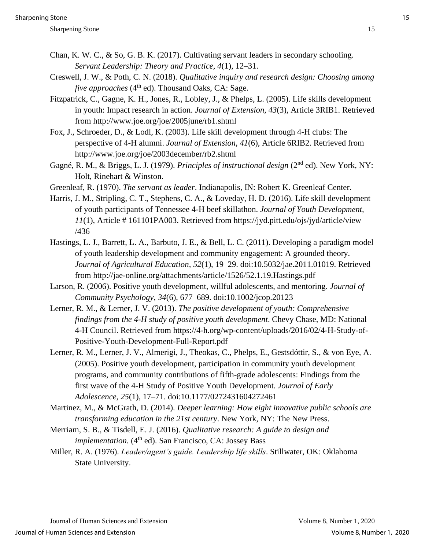- Chan, K. W. C., & So, G. B. K. (2017). Cultivating servant leaders in secondary schooling. *Servant Leadership: Theory and Practice, 4*(1), 12–31.
- Creswell, J. W., & Poth, C. N. (2018). *Qualitative inquiry and research design: Choosing among*  five approaches (4<sup>th</sup> ed). Thousand Oaks, CA: Sage.
- Fitzpatrick, C., Gagne, K. H., Jones, R., Lobley, J., & Phelps, L. (2005). Life skills development in youth: Impact research in action. *Journal of Extension, 43*(3), Article 3RIB1. Retrieved from http://www.joe.org/joe/2005june/rb1.shtml
- Fox, J., Schroeder, D., & Lodl, K. (2003). Life skill development through 4-H clubs: The perspective of 4-H alumni. *Journal of Extension, 41*(6), Article 6RIB2. Retrieved from http://www.joe.org/joe/2003december/rb2.shtml
- Gagné, R. M., & Briggs, L. J. (1979). *Principles of instructional design* (2nd ed). New York, NY: Holt, Rinehart & Winston.
- Greenleaf, R. (1970). *The servant as leader*. Indianapolis, IN: Robert K. Greenleaf Center.
- Harris, J. M., Stripling, C. T., Stephens, C. A., & Loveday, H. D. (2016). Life skill development of youth participants of Tennessee 4-H beef skillathon. *Journal of Youth Development, 11*(1), Article # 161101PA003. Retrieved from https://jyd.pitt.edu/ojs/jyd/article/view /436
- Hastings, L. J., Barrett, L. A., Barbuto, J. E., & Bell, L. C. (2011). Developing a paradigm model of youth leadership development and community engagement: A grounded theory. *Journal of Agricultural Education, 52*(1), 19–29. doi:10.5032/jae.2011.01019. Retrieved from http://jae-online.org/attachments/article/1526/52.1.19.Hastings.pdf
- Larson, R. (2006). Positive youth development, willful adolescents, and mentoring. *Journal of Community Psychology, 34*(6), 677–689. doi:10.1002/jcop.20123
- Lerner, R. M., & Lerner, J. V. (2013). *The positive development of youth: Comprehensive findings from the 4-H study of positive youth development*. Chevy Chase, MD: National 4-H Council. Retrieved from https://4-h.org/wp-content/uploads/2016/02/4-H-Study-of-Positive-Youth-Development-Full-Report.pdf
- Lerner, R. M., Lerner, J. V., Almerigi, J., Theokas, C., Phelps, E., Gestsdóttir, S., & von Eye, A. (2005). Positive youth development, participation in community youth development programs, and community contributions of fifth-grade adolescents: Findings from the first wave of the 4-H Study of Positive Youth Development. *Journal of Early Adolescence, 25*(1), 17–71. doi:10.1177/0272431604272461
- Martinez, M., & McGrath, D. (2014). *Deeper learning: How eight innovative public schools are transforming education in the 21st century*. New York, NY: The New Press.
- Merriam, S. B., & Tisdell, E. J. (2016). *Qualitative research: A guide to design and*  implementation. (4<sup>th</sup> ed). San Francisco, CA: Jossey Bass
- Miller, R. A. (1976). *Leader/agent's guide. Leadership life skills*. Stillwater, OK: Oklahoma State University.